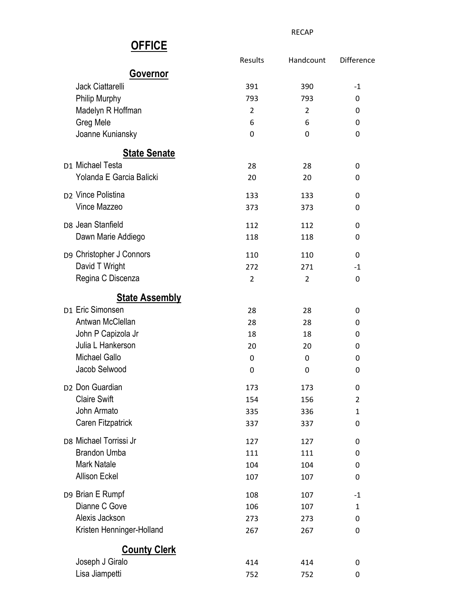|                                | Results        | Handcount      | Difference     |
|--------------------------------|----------------|----------------|----------------|
| Governor                       |                |                |                |
| Jack Ciattarelli               | 391            | 390            | $-1$           |
| Philip Murphy                  | 793            | 793            | 0              |
| Madelyn R Hoffman              | 2              | $\overline{2}$ | 0              |
| Greg Mele                      | 6              | 6              | 0              |
| Joanne Kuniansky               | 0              | 0              | 0              |
| <b>State Senate</b>            |                |                |                |
| D1 Michael Testa               | 28             | 28             | 0              |
| Yolanda E Garcia Balicki       | 20             | 20             | 0              |
| D <sub>2</sub> Vince Polistina | 133            | 133            | 0              |
| Vince Mazzeo                   | 373            | 373            | 0              |
| D8 Jean Stanfield              | 112            | 112            | 0              |
| Dawn Marie Addiego             | 118            | 118            | 0              |
| D9 Christopher J Connors       | 110            | 110            | 0              |
| David T Wright                 | 272            | 271            | $-1$           |
| Regina C Discenza              | $\overline{2}$ | $\overline{2}$ | 0              |
| <b>State Assembly</b>          |                |                |                |
| D1 Eric Simonsen               | 28             | 28             | 0              |
| Antwan McClellan               | 28             | 28             | 0              |
| John P Capizola Jr             | 18             | 18             | 0              |
| Julia L Hankerson              | 20             | 20             | 0              |
| <b>Michael Gallo</b>           | 0              | 0              | 0              |
| Jacob Selwood                  | 0              | 0              | 0              |
| D <sub>2</sub> Don Guardian    | 173            | 173            | 0              |
| <b>Claire Swift</b>            | 154            | 156            | $\overline{2}$ |
| John Armato                    | 335            | 336            | $\mathbf{1}$   |
| Caren Fitzpatrick              | 337            | 337            | 0              |
| D8 Michael Torrissi Jr         | 127            | 127            | 0              |
| <b>Brandon Umba</b>            | 111            | 111            | 0              |
| <b>Mark Natale</b>             | 104            | 104            | 0              |
| <b>Allison Eckel</b>           | 107            | 107            | 0              |
| D9 Brian E Rumpf               | 108            | 107            | $-1$           |
| Dianne C Gove                  | 106            | 107            | $\mathbf{1}$   |
| Alexis Jackson                 | 273            | 273            | 0              |
| Kristen Henninger-Holland      | 267            | 267            | 0              |
| <b>County Clerk</b>            |                |                |                |
| Joseph J Giralo                | 414            | 414            | 0              |
| Lisa Jiampetti                 | 752            | 752            | 0              |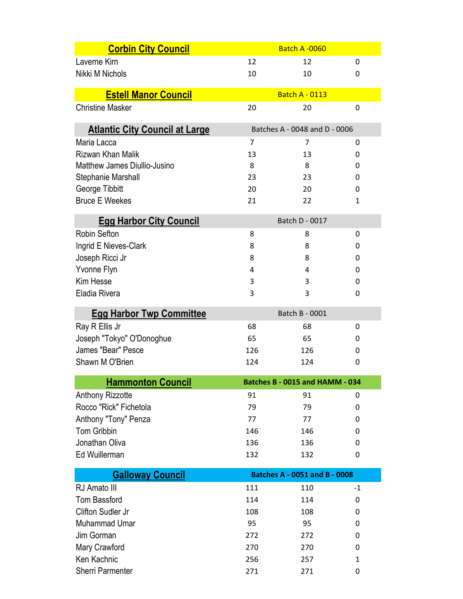| <b>Corbin City Council</b>                 |          | <b>Batch A-0060</b>                  |        |
|--------------------------------------------|----------|--------------------------------------|--------|
| Laverne Kirn                               | 12       | 12                                   | 0      |
| Nikki M Nichols                            | 10       | 10                                   | 0      |
|                                            |          |                                      |        |
| <b>Estell Manor Council</b>                |          | <b>Batch A - 0113</b>                |        |
| <b>Christine Masker</b>                    | 20       | 20                                   | 0      |
| <b>Atlantic City Council at Large</b>      |          | Batches A - 0048 and D - 0006        |        |
| Maria Lacca                                | 7        | 7                                    | 0      |
| Rizwan Khan Malik                          | 13       | 13                                   | 0      |
| Matthew James Diullio-Jusino               | 8        | 8                                    | 0      |
| Stephanie Marshall                         | 23       | 23                                   | 0      |
| George Tibbitt                             | 20       | 20                                   | 0      |
| <b>Bruce E Weekes</b>                      | 21       | 22                                   | 1      |
| <b>Egg Harbor City Council</b>             |          | Batch D - 0017                       |        |
| <b>Robin Sefton</b>                        | 8        | 8                                    | 0      |
| Ingrid E Nieves-Clark                      | 8        | 8                                    | 0      |
| Joseph Ricci Jr                            | 8        | 8                                    | 0      |
| Yvonne Flyn                                | 4        | 4                                    | 0      |
| Kim Hesse                                  | 3        | 3                                    | 0      |
| Eladia Rivera                              | 3        | 3                                    | 0      |
| <b>Egg Harbor Twp Committee</b>            |          | Batch B - 0001                       |        |
| Ray R Ellis Jr                             | 68       | 68                                   | 0      |
| Joseph "Tokyo" O'Donoghue                  | 65       | 65                                   | 0      |
| James "Bear" Pesce                         | 126      | 126                                  | 0      |
| Shawn M O'Brien                            | 124      | 124                                  | 0      |
|                                            |          |                                      |        |
| <b>Hammonton Council</b>                   |          | Batches B - 0015 and HAMM - 034      |        |
| Anthony Rizzotte<br>Rocco "Rick" Fichetola | 91<br>79 | 91<br>79                             | 0<br>0 |
| Anthony "Tony" Penza                       | 77       | 77                                   | 0      |
| <b>Tom Gribbin</b>                         | 146      | 146                                  | 0      |
| Jonathan Oliva                             | 136      | 136                                  | 0      |
| Ed Wuillerman                              | 132      | 132                                  | 0      |
|                                            |          |                                      |        |
| <b>Galloway Council</b>                    |          | <b>Batches A - 0051 and B - 0008</b> |        |
| RJ Amato III                               | 111      | 110                                  | $-1$   |
| <b>Tom Bassford</b>                        | 114      | 114                                  | 0      |
| Clifton Sudler Jr                          | 108      | 108                                  | 0      |
| Muhammad Umar                              | 95       | 95                                   | 0      |
| Jim Gorman                                 | 272      | 272                                  | 0      |
| Mary Crawford                              | 270      | 270                                  | 0      |
| Ken Kachnic                                | 256      | 257                                  | 1      |
| Sherri Parmenter                           | 271      | 271                                  | 0      |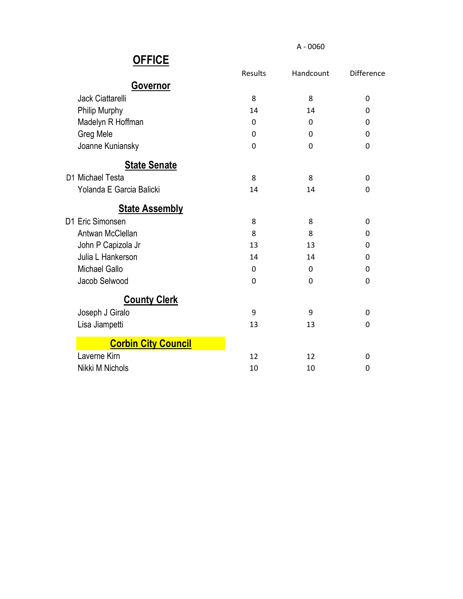| <u>UL IVL</u>              |                |              |                   |
|----------------------------|----------------|--------------|-------------------|
|                            | <b>Results</b> | Handcount    | <b>Difference</b> |
| <b>Governor</b>            |                |              |                   |
| Jack Ciattarelli           | 8              | 8            | 0                 |
| Philip Murphy              | 14             | 14           | 0                 |
| Madelyn R Hoffman          | 0              | 0            | 0                 |
| Greg Mele                  | $\Omega$       | $\Omega$     | 0                 |
| Joanne Kuniansky           | 0              | $\mathbf{0}$ | 0                 |
| <b>State Senate</b>        |                |              |                   |
| D1 Michael Testa           | 8              | 8            | 0                 |
| Yolanda E Garcia Balicki   | 14             | 14           | 0                 |
| <b>State Assembly</b>      |                |              |                   |
| D1 Eric Simonsen           | 8              | 8            | 0                 |
| Antwan McClellan           | 8              | 8            | 0                 |
| John P Capizola Jr         | 13             | 13           | $\Omega$          |
| Julia L Hankerson          | 14             | 14           | 0                 |
| <b>Michael Gallo</b>       | 0              | $\mathbf{0}$ | 0                 |
| Jacob Selwood              | 0              | $\mathbf{0}$ | 0                 |
| <b>County Clerk</b>        |                |              |                   |
| Joseph J Giralo            | 9              | 9            | 0                 |
| Lisa Jiampetti             | 13             | 13           | 0                 |
| <b>Corbin City Council</b> |                |              |                   |
| Laverne Kirn               | 12             | 12           | 0                 |
| Nikki M Nichols            | 10             | 10           | 0                 |
|                            |                |              |                   |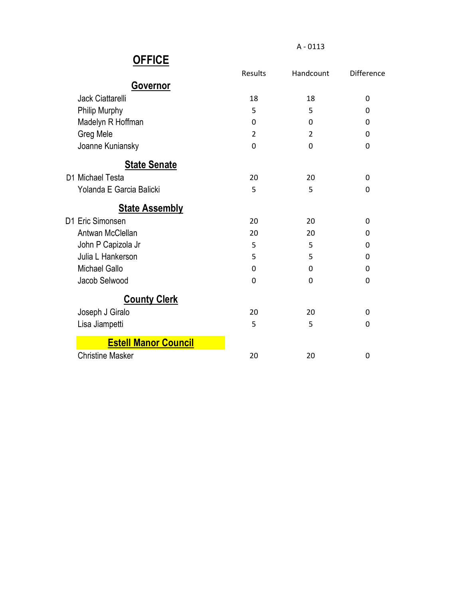| שו ו וע                     |                |                |            |
|-----------------------------|----------------|----------------|------------|
|                             | Results        | Handcount      | Difference |
| <b>Governor</b>             |                |                |            |
| <b>Jack Ciattarelli</b>     | 18             | 18             | 0          |
| Philip Murphy               | 5              | 5              | 0          |
| Madelyn R Hoffman           | 0              | 0              | 0          |
| Greg Mele                   | $\overline{2}$ | $\overline{2}$ | 0          |
| Joanne Kuniansky            | 0              | 0              | 0          |
| <b>State Senate</b>         |                |                |            |
| D1 Michael Testa            | 20             | 20             | 0          |
| Yolanda E Garcia Balicki    | 5              | 5              | 0          |
| <b>State Assembly</b>       |                |                |            |
| D1 Eric Simonsen            | 20             | 20             | 0          |
| Antwan McClellan            | 20             | 20             | 0          |
| John P Capizola Jr          | 5              | 5              | 0          |
| Julia L Hankerson           | 5              | 5              | 0          |
| <b>Michael Gallo</b>        | $\mathbf{0}$   | 0              | 0          |
| Jacob Selwood               | $\mathbf 0$    | 0              | 0          |
| <b>County Clerk</b>         |                |                |            |
| Joseph J Giralo             | 20             | 20             | 0          |
| Lisa Jiampetti              | 5              | 5              | 0          |
| <b>Estell Manor Council</b> |                |                |            |
| <b>Christine Masker</b>     | 20             | 20             | 0          |
|                             |                |                |            |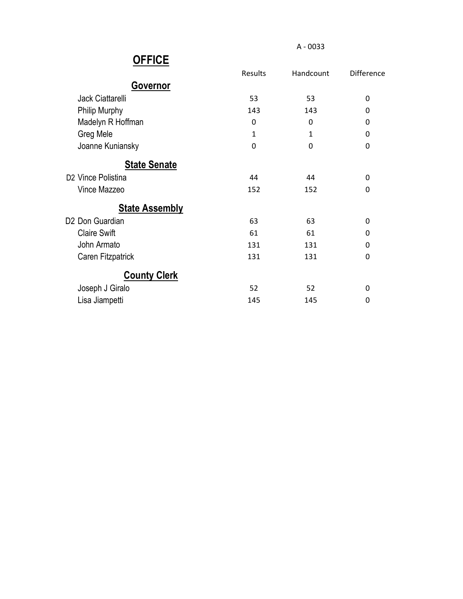| UI I IVL                       |              |              |                   |
|--------------------------------|--------------|--------------|-------------------|
|                                | Results      | Handcount    | <b>Difference</b> |
| Governor                       |              |              |                   |
| Jack Ciattarelli               | 53           | 53           | 0                 |
| <b>Philip Murphy</b>           | 143          | 143          | 0                 |
| Madelyn R Hoffman              | 0            | $\mathbf{0}$ | 0                 |
| Greg Mele                      | $\mathbf{1}$ | $\mathbf{1}$ | 0                 |
| Joanne Kuniansky               | 0            | $\mathbf 0$  | 0                 |
| <b>State Senate</b>            |              |              |                   |
| D <sub>2</sub> Vince Polistina | 44           | 44           | 0                 |
| Vince Mazzeo                   | 152          | 152          | 0                 |
| <b>State Assembly</b>          |              |              |                   |
| D2 Don Guardian                | 63           | 63           | 0                 |
| <b>Claire Swift</b>            | 61           | 61           | 0                 |
| John Armato                    | 131          | 131          | 0                 |
| Caren Fitzpatrick              | 131          | 131          | 0                 |
| <b>County Clerk</b>            |              |              |                   |
| Joseph J Giralo                | 52           | 52           | 0                 |
| Lisa Jiampetti                 | 145          | 145          | 0                 |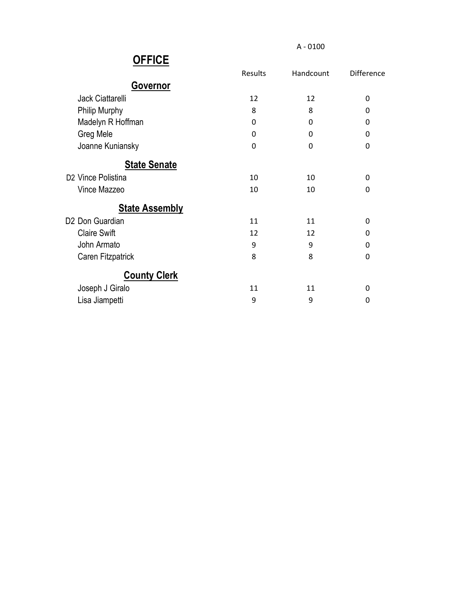| UI I IVL                       |         |              |                   |
|--------------------------------|---------|--------------|-------------------|
|                                | Results | Handcount    | <b>Difference</b> |
| Governor                       |         |              |                   |
| Jack Ciattarelli               | 12      | 12           | 0                 |
| <b>Philip Murphy</b>           | 8       | 8            | 0                 |
| Madelyn R Hoffman              | 0       | 0            | 0                 |
| Greg Mele                      | 0       | 0            | 0                 |
| Joanne Kuniansky               | 0       | $\mathbf{0}$ | 0                 |
| <b>State Senate</b>            |         |              |                   |
| D <sub>2</sub> Vince Polistina | 10      | 10           | 0                 |
| Vince Mazzeo                   | 10      | 10           | $\Omega$          |
| <b>State Assembly</b>          |         |              |                   |
| D <sub>2</sub> Don Guardian    | 11      | 11           | 0                 |
| <b>Claire Swift</b>            | 12      | 12           | 0                 |
| John Armato                    | 9       | 9            | 0                 |
| Caren Fitzpatrick              | 8       | 8            | 0                 |
| <b>County Clerk</b>            |         |              |                   |
| Joseph J Giralo                | 11      | 11           | 0                 |
| Lisa Jiampetti                 | 9       | 9            | 0                 |
|                                |         |              |                   |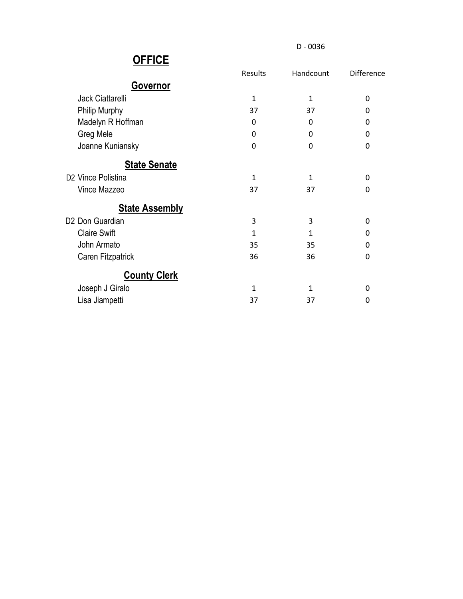D - 0036

| .                              |              |              |            |
|--------------------------------|--------------|--------------|------------|
|                                | Results      | Handcount    | Difference |
| <b>Governor</b>                |              |              |            |
| Jack Ciattarelli               | $\mathbf 1$  | 1            | 0          |
| <b>Philip Murphy</b>           | 37           | 37           | 0          |
| Madelyn R Hoffman              | 0            | 0            | 0          |
| Greg Mele                      | 0            | 0            | 0          |
| Joanne Kuniansky               | 0            | 0            | 0          |
| <b>State Senate</b>            |              |              |            |
| D <sub>2</sub> Vince Polistina | $\mathbf{1}$ | 1            | 0          |
| Vince Mazzeo                   | 37           | 37           | 0          |
| <b>State Assembly</b>          |              |              |            |
| D2 Don Guardian                | 3            | 3            | 0          |
| <b>Claire Swift</b>            | $\mathbf{1}$ | $\mathbf{1}$ | 0          |
| John Armato                    | 35           | 35           | 0          |
| Caren Fitzpatrick              | 36           | 36           | 0          |
| <b>County Clerk</b>            |              |              |            |
| Joseph J Giralo                | $\mathbf{1}$ | 1            | 0          |
| Lisa Jiampetti                 | 37           | 37           | 0          |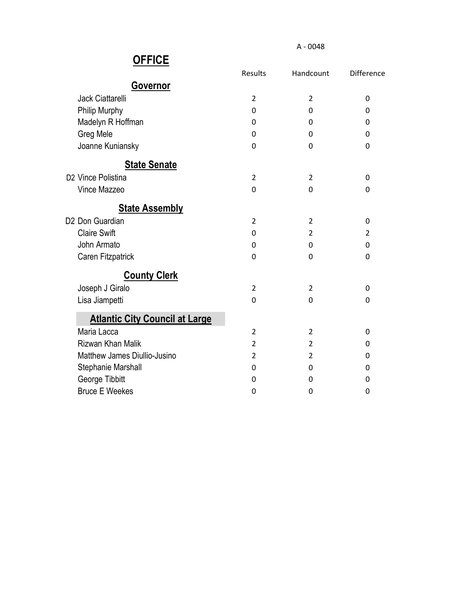|                                       | Results        | Handcount      | Difference |
|---------------------------------------|----------------|----------------|------------|
| <b>Governor</b>                       |                |                |            |
| <b>Jack Ciattarelli</b>               | $\overline{2}$ | $\overline{2}$ | 0          |
| Philip Murphy                         | 0              | 0              | 0          |
| Madelyn R Hoffman                     | 0              | 0              | 0          |
| Greg Mele                             | 0              | 0              | 0          |
| Joanne Kuniansky                      | 0              | $\Omega$       | 0          |
| <b>State Senate</b>                   |                |                |            |
| D <sub>2</sub> Vince Polistina        | $\overline{2}$ | $\overline{2}$ | 0          |
| Vince Mazzeo                          | 0              | 0              | 0          |
| <b>State Assembly</b>                 |                |                |            |
| D <sub>2</sub> Don Guardian           | $\overline{2}$ | $\overline{2}$ | 0          |
| <b>Claire Swift</b>                   | 0              | 2              | 2          |
| John Armato                           | 0              | 0              | 0          |
| Caren Fitzpatrick                     | 0              | 0              | 0          |
| <b>County Clerk</b>                   |                |                |            |
| Joseph J Giralo                       | $\overline{2}$ | $\overline{2}$ | 0          |
| Lisa Jiampetti                        | 0              | 0              | 0          |
| <b>Atlantic City Council at Large</b> |                |                |            |
| Maria Lacca                           | $\overline{2}$ | $\overline{2}$ | 0          |
| Rizwan Khan Malik                     | $\overline{2}$ | 2              | 0          |
| Matthew James Diullio-Jusino          | $\overline{2}$ | $\overline{2}$ | 0          |
| Stephanie Marshall                    | 0              | 0              | 0          |
| George Tibbitt                        | 0              | 0              | 0          |
| <b>Bruce E Weekes</b>                 | 0              | 0              | 0          |
|                                       |                |                |            |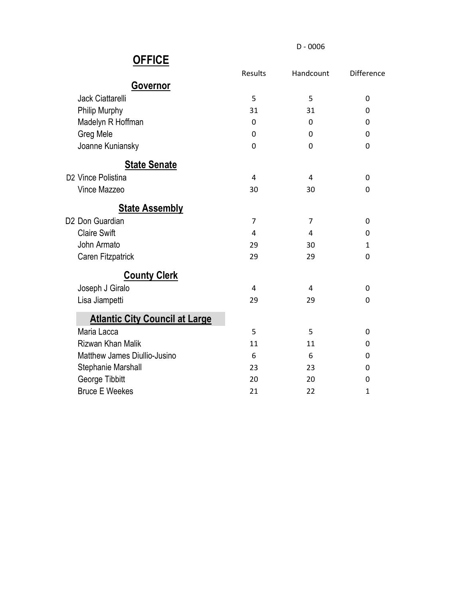D - 0006

|                                       | Results | Handcount      | Difference   |
|---------------------------------------|---------|----------------|--------------|
| <b>Governor</b>                       |         |                |              |
| <b>Jack Ciattarelli</b>               | 5       | 5              | 0            |
| Philip Murphy                         | 31      | 31             | 0            |
| Madelyn R Hoffman                     | 0       | 0              | 0            |
| Greg Mele                             | 0       | 0              | 0            |
| Joanne Kuniansky                      | 0       | 0              | 0            |
| <b>State Senate</b>                   |         |                |              |
| D <sub>2</sub> Vince Polistina        | 4       | 4              | $\mathbf{0}$ |
| Vince Mazzeo                          | 30      | 30             | 0            |
| <b>State Assembly</b>                 |         |                |              |
| D <sub>2</sub> Don Guardian           | 7       | $\overline{7}$ | 0            |
| <b>Claire Swift</b>                   | 4       | 4              | $\mathbf{0}$ |
| John Armato                           | 29      | 30             | 1            |
| Caren Fitzpatrick                     | 29      | 29             | 0            |
| <b>County Clerk</b>                   |         |                |              |
| Joseph J Giralo                       | 4       | 4              | 0            |
| Lisa Jiampetti                        | 29      | 29             | 0            |
| <b>Atlantic City Council at Large</b> |         |                |              |
| Maria Lacca                           | 5       | 5              | 0            |
| Rizwan Khan Malik                     | 11      | 11             | $\Omega$     |
| Matthew James Diullio-Jusino          | 6       | 6              | 0            |
| Stephanie Marshall                    | 23      | 23             | 0            |
| George Tibbitt                        | 20      | 20             | 0            |
| <b>Bruce E Weekes</b>                 | 21      | 22             | $\mathbf{1}$ |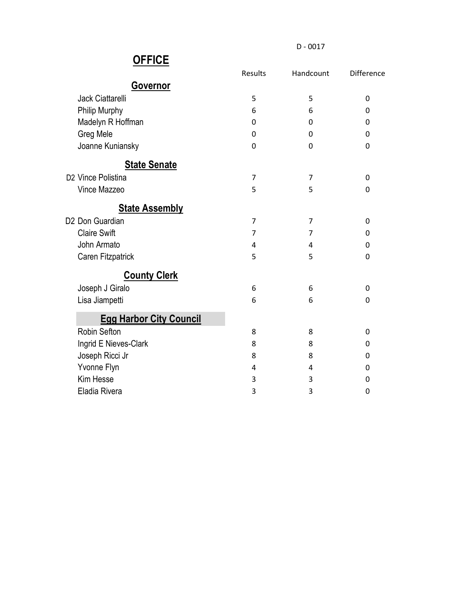D - 0017

|                                | <b>Results</b> | Handcount      | <b>Difference</b> |
|--------------------------------|----------------|----------------|-------------------|
| <b>Governor</b>                |                |                |                   |
| Jack Ciattarelli               | 5              | 5              | 0                 |
| Philip Murphy                  | 6              | 6              | 0                 |
| Madelyn R Hoffman              | 0              | 0              | 0                 |
| Greg Mele                      | 0              | 0              | 0                 |
| Joanne Kuniansky               | 0              | 0              | 0                 |
| <b>State Senate</b>            |                |                |                   |
| D2 Vince Polistina             | 7              | 7              | 0                 |
| Vince Mazzeo                   | 5              | 5              | 0                 |
| <b>State Assembly</b>          |                |                |                   |
| D2 Don Guardian                | 7              | 7              | 0                 |
| <b>Claire Swift</b>            | $\overline{7}$ | $\overline{7}$ | 0                 |
| John Armato                    | 4              | 4              | 0                 |
| Caren Fitzpatrick              | 5              | 5              | 0                 |
| <b>County Clerk</b>            |                |                |                   |
| Joseph J Giralo                | 6              | 6              | 0                 |
| Lisa Jiampetti                 | 6              | 6              | 0                 |
| <b>Egg Harbor City Council</b> |                |                |                   |
| Robin Sefton                   | 8              | 8              | 0                 |
| Ingrid E Nieves-Clark          | 8              | 8              | $\mathbf{0}$      |
| Joseph Ricci Jr                | 8              | 8              | 0                 |
| Yvonne Flyn                    | 4              | 4              | 0                 |
| Kim Hesse                      | 3              | 3              | 0                 |
| Eladia Rivera                  | 3              | 3              | 0                 |
|                                |                |                |                   |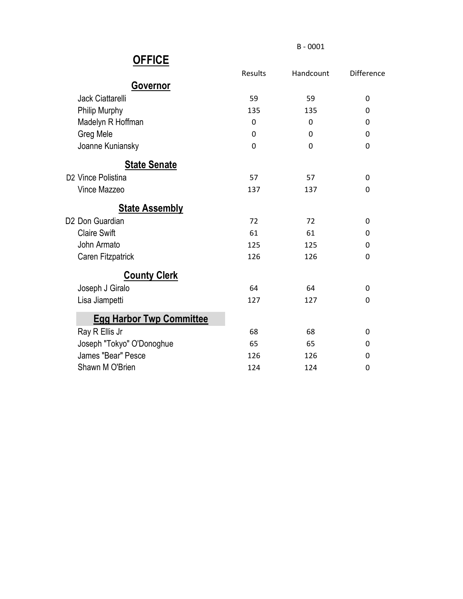B - 0001

|                                 | Results | Handcount | <b>Difference</b> |
|---------------------------------|---------|-----------|-------------------|
| <b>Governor</b>                 |         |           |                   |
| <b>Jack Ciattarelli</b>         | 59      | 59        | 0                 |
| Philip Murphy                   | 135     | 135       | 0                 |
| Madelyn R Hoffman               | 0       | 0         | 0                 |
| Greg Mele                       | 0       | 0         | 0                 |
| Joanne Kuniansky                | 0       | 0         | 0                 |
| <b>State Senate</b>             |         |           |                   |
| D <sub>2</sub> Vince Polistina  | 57      | 57        | 0                 |
| Vince Mazzeo                    | 137     | 137       | 0                 |
| <b>State Assembly</b>           |         |           |                   |
| D <sub>2</sub> Don Guardian     | 72      | 72        | 0                 |
| <b>Claire Swift</b>             | 61      | 61        | 0                 |
| John Armato                     | 125     | 125       | 0                 |
| Caren Fitzpatrick               | 126     | 126       | 0                 |
| <b>County Clerk</b>             |         |           |                   |
| Joseph J Giralo                 | 64      | 64        | 0                 |
| Lisa Jiampetti                  | 127     | 127       | 0                 |
| <b>Egg Harbor Twp Committee</b> |         |           |                   |
| Ray R Ellis Jr                  | 68      | 68        | 0                 |
| Joseph "Tokyo" O'Donoghue       | 65      | 65        | 0                 |
| James "Bear" Pesce              | 126     | 126       | 0                 |
| Shawn M O'Brien                 | 124     | 124       | 0                 |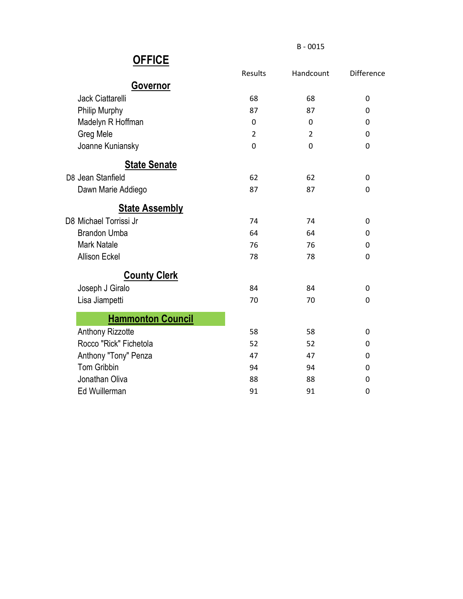B - 0015

|                          | Results | Handcount      | <b>Difference</b> |
|--------------------------|---------|----------------|-------------------|
| <b>Governor</b>          |         |                |                   |
| <b>Jack Ciattarelli</b>  | 68      | 68             | 0                 |
| Philip Murphy            | 87      | 87             | 0                 |
| Madelyn R Hoffman        | 0       | 0              | 0                 |
| Greg Mele                | 2       | $\overline{2}$ | 0                 |
| Joanne Kuniansky         | 0       | 0              | 0                 |
| <b>State Senate</b>      |         |                |                   |
| D8 Jean Stanfield        | 62      | 62             | 0                 |
| Dawn Marie Addiego       | 87      | 87             | $\mathbf 0$       |
| <b>State Assembly</b>    |         |                |                   |
| D8 Michael Torrissi Jr   | 74      | 74             | 0                 |
| <b>Brandon Umba</b>      | 64      | 64             | 0                 |
| <b>Mark Natale</b>       | 76      | 76             | 0                 |
| <b>Allison Eckel</b>     | 78      | 78             | $\mathbf 0$       |
| <b>County Clerk</b>      |         |                |                   |
| Joseph J Giralo          | 84      | 84             | 0                 |
| Lisa Jiampetti           | 70      | 70             | 0                 |
| <b>Hammonton Council</b> |         |                |                   |
| <b>Anthony Rizzotte</b>  | 58      | 58             | 0                 |
| Rocco "Rick" Fichetola   | 52      | 52             | 0                 |
| Anthony "Tony" Penza     | 47      | 47             | 0                 |
| <b>Tom Gribbin</b>       | 94      | 94             | 0                 |
| Jonathan Oliva           | 88      | 88             | 0                 |
| Ed Wuillerman            | 91      | 91             | $\mathbf 0$       |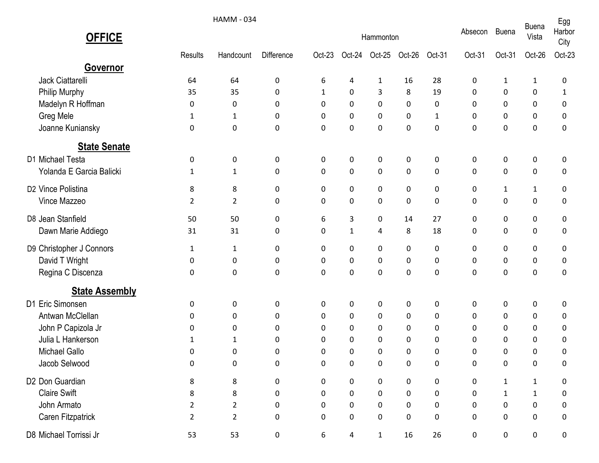|                          |                | <b>HAMM - 034</b> |                   |              |              |              |           |              |         |              |                       | Egg            |
|--------------------------|----------------|-------------------|-------------------|--------------|--------------|--------------|-----------|--------------|---------|--------------|-----------------------|----------------|
| <b>OFFICE</b>            |                |                   |                   | Hammonton    |              |              |           |              | Absecon | <b>Buena</b> | <b>Buena</b><br>Vista | Harbor<br>City |
|                          | Results        | Handcount         | <b>Difference</b> | Oct-23       | Oct-24       | Oct-25       | Oct-26    | Oct-31       | Oct-31  | Oct-31       | Oct-26                | Oct-23         |
| Governor                 |                |                   |                   |              |              |              |           |              |         |              |                       |                |
| Jack Ciattarelli         | 64             | 64                | 0                 | 6            | 4            | $\mathbf{1}$ | 16        | 28           | 0       | 1            | 1                     | 0              |
| Philip Murphy            | 35             | 35                | 0                 | $\mathbf{1}$ | 0            | 3            | 8         | 19           | 0       | 0            | 0                     | 1              |
| Madelyn R Hoffman        | 0              | 0                 | 0                 | 0            | 0            | 0            | 0         | 0            | 0       | 0            | 0                     | 0              |
| Greg Mele                | 1              | 1                 | 0                 | 0            | 0            | 0            | 0         | $\mathbf{1}$ | 0       | 0            | 0                     | 0              |
| Joanne Kuniansky         | 0              | 0                 | 0                 | 0            | 0            | 0            | 0         | 0            | 0       | 0            | 0                     | 0              |
| <b>State Senate</b>      |                |                   |                   |              |              |              |           |              |         |              |                       |                |
| D1 Michael Testa         | 0              | 0                 | 0                 | 0            | 0            | 0            | 0         | 0            | 0       | 0            | 0                     | 0              |
| Yolanda E Garcia Balicki | 1              | $\mathbf{1}$      | 0                 | 0            | 0            | 0            | 0         | 0            | 0       | 0            | 0                     | 0              |
| D2 Vince Polistina       | 8              | 8                 | 0                 | 0            | 0            | 0            | 0         | 0            | 0       | $\mathbf{1}$ | $\mathbf{1}$          | 0              |
| Vince Mazzeo             | $\overline{2}$ | $\overline{2}$    | 0                 | 0            | $\pmb{0}$    | 0            | $\pmb{0}$ | 0            | 0       | 0            | 0                     | 0              |
| D8 Jean Stanfield        | 50             | 50                | 0                 | 6            | 3            | 0            | 14        | 27           | 0       | 0            | 0                     | 0              |
| Dawn Marie Addiego       | 31             | 31                | 0                 | 0            | $\mathbf{1}$ | 4            | 8         | 18           | 0       | 0            | 0                     | 0              |
| D9 Christopher J Connors | 1              | $\mathbf{1}$      | 0                 | 0            | 0            | 0            | 0         | 0            | 0       | 0            | 0                     | 0              |
| David T Wright           | 0              | 0                 | 0                 | 0            | 0            | 0            | 0         | 0            | 0       | 0            | 0                     | 0              |
| Regina C Discenza        | 0              | 0                 | 0                 | 0            | 0            | 0            | 0         | 0            | 0       | 0            | 0                     | 0              |
| <b>State Assembly</b>    |                |                   |                   |              |              |              |           |              |         |              |                       |                |
| D1 Eric Simonsen         | 0              | 0                 | 0                 | 0            | 0            | 0            | 0         | 0            | 0       | 0            | 0                     | 0              |
| Antwan McClellan         | 0              | 0                 | 0                 | 0            | 0            | 0            | 0         | 0            | 0       | 0            | 0                     | 0              |
| John P Capizola Jr       | 0              | 0                 | 0                 | 0            | 0            | 0            | 0         | 0            | 0       | 0            | 0                     | 0              |
| Julia L Hankerson        | 1              | 1                 | 0                 | 0            | 0            | 0            | 0         | 0            | 0       | $\mathbf{0}$ | 0                     | 0              |
| <b>Michael Gallo</b>     | 0              | 0                 | 0                 | 0            | 0            | 0            | 0         | 0            | 0       | 0            | $\mathbf{0}$          | 0              |
| Jacob Selwood            | 0              | 0                 | 0                 | 0            | 0            | 0            | 0         | 0            | 0       | 0            | 0                     | 0              |
| D2 Don Guardian          | 8              | 8                 | 0                 | 0            | 0            | 0            | 0         | 0            | 0       | $\mathbf{1}$ | $\mathbf{1}$          | 0              |
| <b>Claire Swift</b>      | 8              | 8                 | 0                 | 0            | $\mathbf 0$  | 0            | $\pmb{0}$ | 0            | 0       | $\mathbf{1}$ | $\mathbf{1}$          | 0              |
| John Armato              | 2              | $\overline{2}$    | 0                 | 0            | $\mathbf 0$  | $\pmb{0}$    | 0         | 0            | 0       | 0            | 0                     | 0              |
| Caren Fitzpatrick        | $\overline{2}$ | $\overline{2}$    | 0                 | 0            | 0            | 0            | 0         | 0            | 0       | 0            | 0                     | 0              |
| D8 Michael Torrissi Jr   | 53             | 53                | 0                 | 6            | 4            | $\mathbf{1}$ | 16        | 26           | 0       | 0            | 0                     | 0              |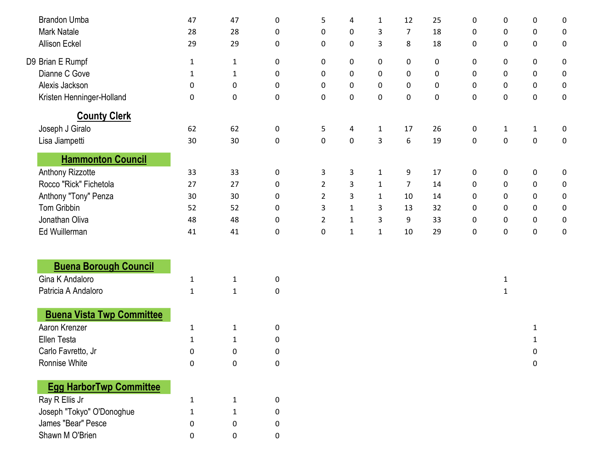| <b>Brandon Umba</b>                               | 47           | 47           | $\pmb{0}$ | 5              | 4            | $\mathbf{1}$ | 12               | 25 | 0           | 0            | 0                | 0                |
|---------------------------------------------------|--------------|--------------|-----------|----------------|--------------|--------------|------------------|----|-------------|--------------|------------------|------------------|
| <b>Mark Natale</b>                                | 28           | 28           | $\pmb{0}$ | $\pmb{0}$      | $\pmb{0}$    | 3            | $\overline{7}$   | 18 | $\pmb{0}$   | $\pmb{0}$    | $\pmb{0}$        | $\pmb{0}$        |
| <b>Allison Eckel</b>                              | 29           | 29           | $\pmb{0}$ | 0              | $\pmb{0}$    | 3            | $\bf 8$          | 18 | $\mathbf 0$ | 0            | $\pmb{0}$        | $\mathbf 0$      |
| D9 Brian E Rumpf                                  | $\mathbf{1}$ | $\mathbf{1}$ | 0         | 0              | 0            | $\pmb{0}$    | $\pmb{0}$        | 0  | 0           | $\mathbf 0$  | 0                | $\boldsymbol{0}$ |
| Dianne C Gove                                     | 1            | $\mathbf{1}$ | $\pmb{0}$ | 0              | $\pmb{0}$    | $\pmb{0}$    | $\pmb{0}$        | 0  | $\mathbf 0$ | 0            | $\pmb{0}$        | $\boldsymbol{0}$ |
| Alexis Jackson                                    | 0            | 0            | 0         | 0              | $\pmb{0}$    | $\pmb{0}$    | $\pmb{0}$        | 0  | $\mathbf 0$ | 0            | 0                | 0                |
| Kristen Henninger-Holland                         | $\pmb{0}$    | $\pmb{0}$    | $\pmb{0}$ | $\pmb{0}$      | $\pmb{0}$    | $\pmb{0}$    | $\pmb{0}$        | 0  | $\pmb{0}$   | $\pmb{0}$    | $\pmb{0}$        | $\pmb{0}$        |
| <b>County Clerk</b>                               |              |              |           |                |              |              |                  |    |             |              |                  |                  |
| Joseph J Giralo                                   | 62           | 62           | $\pmb{0}$ | 5              | 4            | $\mathbf{1}$ | 17               | 26 | $\mathbf 0$ | $\mathbf{1}$ | $\mathbf{1}$     | 0                |
| Lisa Jiampetti                                    | 30           | 30           | $\pmb{0}$ | $\pmb{0}$      | $\pmb{0}$    | 3            | $\boldsymbol{6}$ | 19 | $\pmb{0}$   | $\pmb{0}$    | $\boldsymbol{0}$ | $\pmb{0}$        |
| <b>Hammonton Council</b>                          |              |              |           |                |              |              |                  |    |             |              |                  |                  |
| Anthony Rizzotte                                  | 33           | 33           | $\pmb{0}$ | 3              | 3            | $\mathbf{1}$ | 9                | 17 | $\pmb{0}$   | 0            | $\pmb{0}$        | $\pmb{0}$        |
| Rocco "Rick" Fichetola                            | 27           | 27           | $\pmb{0}$ | $\overline{2}$ | 3            | $\mathbf{1}$ | $\overline{7}$   | 14 | 0           | 0            | 0                | 0                |
| Anthony "Tony" Penza                              | 30           | 30           | $\pmb{0}$ | $\overline{2}$ | 3            | $\mathbf{1}$ | 10               | 14 | $\mathbf 0$ | 0            | $\pmb{0}$        | 0                |
| Tom Gribbin                                       | 52           | 52           | $\pmb{0}$ | 3              | $\mathbf{1}$ | 3            | 13               | 32 | 0           | 0            | 0                | 0                |
| Jonathan Oliva                                    | 48           | 48           | $\pmb{0}$ | $\overline{2}$ | $\mathbf{1}$ | 3            | 9                | 33 | $\mathbf 0$ | $\pmb{0}$    | 0                | $\mathbf 0$      |
| Ed Wuillerman                                     | 41           | 41           | $\pmb{0}$ | $\pmb{0}$      | $\mathbf{1}$ | $\mathbf{1}$ | 10               | 29 | $\pmb{0}$   | $\pmb{0}$    | $\pmb{0}$        | $\pmb{0}$        |
|                                                   |              |              |           |                |              |              |                  |    |             |              |                  |                  |
| <b>Buena Borough Council</b>                      |              |              |           |                |              |              |                  |    |             |              |                  |                  |
| Gina K Andaloro                                   | $\mathbf{1}$ | $\mathbf{1}$ | 0         |                |              |              |                  |    |             | $\mathbf{1}$ |                  |                  |
| Patricia A Andaloro                               | $\mathbf{1}$ | $1\,$        | $\pmb{0}$ |                |              |              |                  |    |             | $\mathbf{1}$ |                  |                  |
|                                                   |              |              |           |                |              |              |                  |    |             |              |                  |                  |
| <b>Buena Vista Twp Committee</b><br>Aaron Krenzer |              |              |           |                |              |              |                  |    |             |              |                  |                  |
| Ellen Testa                                       | $\mathbf 1$  | $\mathbf{1}$ | $\pmb{0}$ |                |              |              |                  |    |             |              | 1                |                  |
|                                                   | $\mathbf 1$  | $\mathbf{1}$ | $\pmb{0}$ |                |              |              |                  |    |             |              | $\mathbf{1}$     |                  |
| Carlo Favretto, Jr<br>Ronnise White               | 0            | 0            | 0         |                |              |              |                  |    |             |              | 0                |                  |
|                                                   | $\pmb{0}$    | 0            | $\pmb{0}$ |                |              |              |                  |    |             |              | $\pmb{0}$        |                  |
| <b>Egg HarborTwp Committee</b>                    |              |              |           |                |              |              |                  |    |             |              |                  |                  |
| Ray R Ellis Jr                                    | 1            | $\mathbf 1$  | 0         |                |              |              |                  |    |             |              |                  |                  |
| Joseph "Tokyo" O'Donoghue                         | 1            | 1            | 0         |                |              |              |                  |    |             |              |                  |                  |
| James "Bear" Pesce                                | 0            | 0            | 0         |                |              |              |                  |    |             |              |                  |                  |
| Shawn M O'Brien                                   | 0            | 0            | $\pmb{0}$ |                |              |              |                  |    |             |              |                  |                  |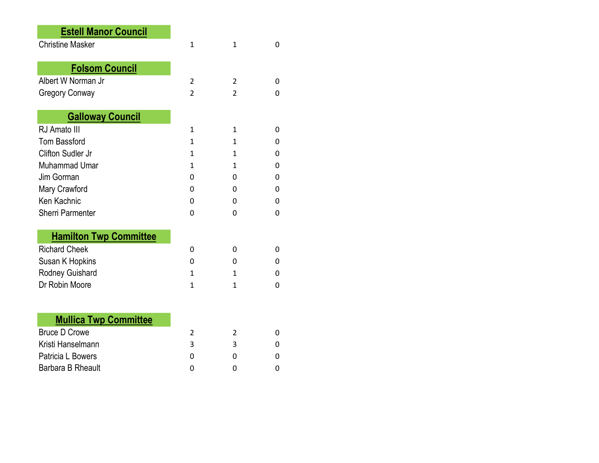| <b>Estell Manor Council</b>   |                |                |   |
|-------------------------------|----------------|----------------|---|
| <b>Christine Masker</b>       | 1              | 1              | 0 |
|                               |                |                |   |
| <b>Folsom Council</b>         |                |                |   |
| Albert W Norman Jr            | $\overline{2}$ | $\overline{2}$ | 0 |
| <b>Gregory Conway</b>         | $\overline{2}$ | 2              | 0 |
|                               |                |                |   |
| <b>Galloway Council</b>       |                |                |   |
| RJ Amato III                  | 1              | 1              | 0 |
| <b>Tom Bassford</b>           | 1              | $\mathbf{1}$   | 0 |
| Clifton Sudler Jr             | 1              | 1              | 0 |
| Muhammad Umar                 | 1              | 1              | 0 |
| Jim Gorman                    | 0              | 0              | 0 |
| Mary Crawford                 | 0              | 0              | 0 |
| Ken Kachnic                   | 0              | 0              | 0 |
| <b>Sherri Parmenter</b>       | 0              | 0              | 0 |
|                               |                |                |   |
| <b>Hamilton Twp Committee</b> |                |                |   |
| <b>Richard Cheek</b>          | 0              | 0              | 0 |
| Susan K Hopkins               | 0              | 0              | 0 |
| Rodney Guishard               | 1              | $\mathbf{1}$   | 0 |
| Dr Robin Moore                | 1              | $\mathbf{1}$   | 0 |
|                               |                |                |   |
| <b>Mullica Twp Committee</b>  |                |                |   |
| <b>Bruce D Crowe</b>          | 2              | 2              | 0 |
| Kristi Hanselmann             | 3              | 3              | 0 |
| Patricia L Bowers             | 0              | 0              | 0 |
| Barbara B Rheault             | 0              | 0              | 0 |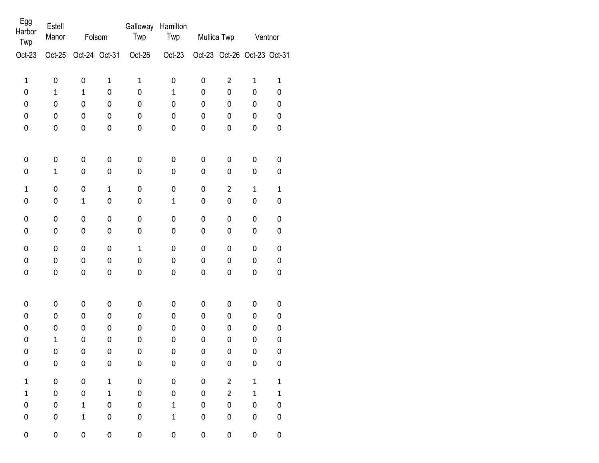| Egg<br>Harbor<br>Twp | Estell<br>Manor | Folsom        |              | Galloway<br>Twp  | Hamilton<br>Twp     |             | Mullica Twp                 | Ventnor      |              |  |
|----------------------|-----------------|---------------|--------------|------------------|---------------------|-------------|-----------------------------|--------------|--------------|--|
| $Oct-23$             | Oct-25          | Oct-24 Oct-31 |              | Oct-26           | Oct-23              |             | Oct-23 Oct-26 Oct-23 Oct-31 |              |              |  |
| $\mathbf 1$          | 0               | $\pmb{0}$     | $\mathbf 1$  | $\mathbf 1$      | 0                   | 0           | $\overline{2}$              | $\mathbf{1}$ | $\mathbf{1}$ |  |
| 0                    | $\mathbf{1}$    | $\mathbf 1$   | 0            | 0                | $\mathbf{1}$        | 0           | 0                           | 0            | 0            |  |
| 0                    | 0               | 0             | 0            | $\mathbf 0$      | 0                   | 0           | 0                           | 0            | 0            |  |
| 0                    | 0               | 0             | 0            | 0                | 0                   | 0           | 0                           | 0            | 0            |  |
| 0                    | 0               | 0             | 0            | 0                | 0                   | 0           | 0                           | 0            | 0            |  |
| 0                    | $\pmb{0}$       | 0             | $\pmb{0}$    | $\boldsymbol{0}$ | 0                   | 0           | $\pmb{0}$                   | 0            | 0            |  |
| 0                    | $\mathbf 1$     | 0             | $\pmb{0}$    | $\pmb{0}$        | 0                   | 0           | $\mathsf{O}\xspace$         | 0            | 0            |  |
| $\mathbf{1}$         | $\pmb{0}$       | $\mathbf 0$   | $\mathbf 1$  | $\pmb{0}$        | 0                   | $\mathbf 0$ | $\overline{2}$              | $\mathbf{1}$ | $\mathbf{1}$ |  |
| 0                    | 0               | $\mathbf 1$   | 0            | $\pmb{0}$        | $\mathbf 1$         | 0           | 0                           | $\pmb{0}$    | 0            |  |
| 0                    | $\pmb{0}$       | 0             | $\pmb{0}$    | $\boldsymbol{0}$ | $\pmb{0}$           | 0           | 0                           | $\pmb{0}$    | 0            |  |
| 0                    | 0               | 0             | $\mathbf 0$  | $\pmb{0}$        | 0                   | 0           | 0                           | 0            | 0            |  |
| 0                    | $\pmb{0}$       | 0             | $\pmb{0}$    | $\mathbf{1}$     | 0                   | 0           | 0                           | $\pmb{0}$    | 0            |  |
| 0                    | 0               | $\pmb{0}$     | $\pmb{0}$    | $\pmb{0}$        | 0                   | $\mathbf 0$ | 0                           | $\pmb{0}$    | 0            |  |
| 0                    | 0               | 0             | 0            | $\boldsymbol{0}$ | 0                   | 0           | 0                           | 0            | 0            |  |
| 0                    | $\pmb{0}$       | 0             | 0            | $\mathbf 0$      | 0                   | 0           | 0                           | 0            | 0            |  |
| 0                    | 0               | 0             | 0            | $\mathbf 0$      | 0                   | 0           | $\mathsf 0$                 | 0            | 0            |  |
| 0                    | 0               | 0             | 0            | $\mathbf 0$      | 0                   | 0           | 0                           | 0            | 0            |  |
| 0                    | $\mathbf 1$     | 0             | 0            | $\mathbf 0$      | 0                   | 0           | 0                           | 0            | 0            |  |
| 0                    | $\pmb{0}$       | $\mathbf 0$   | 0            | $\mathbf 0$      | 0                   | 0           | $\mathsf 0$                 | 0            | 0            |  |
| 0                    | 0               | 0             | 0            | $\pmb{0}$        | 0                   | 0           | 0                           | 0            | 0            |  |
| $\mathbf 1$          | $\pmb{0}$       | $\pmb{0}$     | $\mathbf 1$  | $\pmb{0}$        | $\pmb{0}$           | $\pmb{0}$   | $\overline{2}$              | $\mathbf 1$  | $\mathbf 1$  |  |
| $\mathbf{1}$         | $\mathsf 0$     | $\pmb{0}$     | $\mathbf{1}$ | $\pmb{0}$        | 0                   | $\pmb{0}$   | $\overline{2}$              | $\mathbf{1}$ | $\mathbf 1$  |  |
| 0                    | 0               | $\mathbf{1}$  | $\pmb{0}$    | 0                | $\mathbf 1$         | 0           | 0                           | $\pmb{0}$    | 0            |  |
| 0                    | 0               | $\mathbf{1}$  | 0            | $\pmb{0}$        | $\mathbf 1$         | 0           | 0                           | 0            | 0            |  |
| 0                    | $\mathbf 0$     | 0             | 0            | $\pmb{0}$        | $\mathsf{O}\xspace$ | 0           | 0                           | 0            | $\pmb{0}$    |  |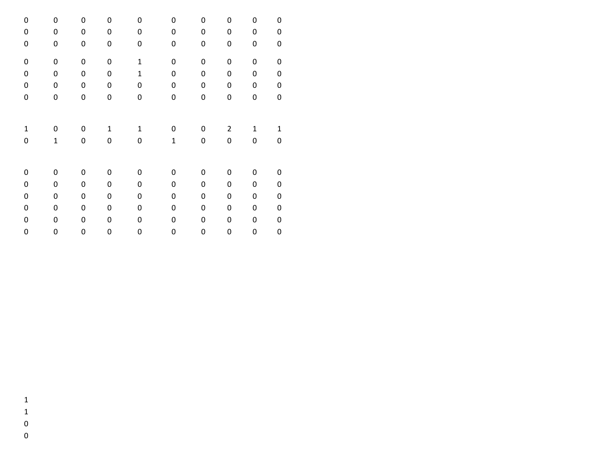| 0                   | 0           | 0           | 0            | 0            | 0            | 0           | 0              | 0            | 0            |
|---------------------|-------------|-------------|--------------|--------------|--------------|-------------|----------------|--------------|--------------|
| 0                   | 0           | 0           | 0            | 0            | 0            | 0           | $\pmb{0}$      | 0            | 0            |
| 0                   | $\pmb{0}$   | 0           | 0            | 0            | 0            | 0           | $\pmb{0}$      | $\mathbf 0$  | $\mathbf 0$  |
| $\mathsf{O}\xspace$ | $\pmb{0}$   | $\mathbf 0$ | $\mathbf 0$  | $\mathbf 1$  | 0            | $\mathbf 0$ | $\mathbf 0$    | $\mathbf 0$  | $\mathbf 0$  |
| 0                   | $\pmb{0}$   | 0           | $\mathbf 0$  | $\mathbf{1}$ | 0            | 0           | $\pmb{0}$      | $\mathbf 0$  | $\mathbf 0$  |
| 0                   | $\pmb{0}$   | 0           | $\mathbf 0$  | 0            | 0            | $\mathsf 0$ | $\pmb{0}$      | $\mathsf 0$  | $\mathbf 0$  |
| 0                   | $\pmb{0}$   | $\mathbf 0$ | 0            | 0            | 0            | 0           | 0              | 0            | $\mathbf 0$  |
|                     |             |             |              |              |              |             |                |              |              |
| 1                   | 0           | 0           | $\mathbf{1}$ | $\mathbf{1}$ | 0            | 0           | $\overline{2}$ | $\mathbf{1}$ | $\mathbf{1}$ |
| 0                   | $\mathbf 1$ | 0           | 0            | 0            | $\mathbf{1}$ | 0           | $\pmb{0}$      | 0            | 0            |
|                     |             |             |              |              |              |             |                |              |              |
| 0                   | 0           | 0           | 0            | 0            | 0            | 0           | 0              | 0            | 0            |
| 0                   | 0           | 0           | 0            | 0            | 0            | 0           | $\pmb{0}$      | 0            | 0            |
| 0                   | $\pmb{0}$   | 0           | 0            | 0            | 0            | 0           | $\pmb{0}$      | $\pmb{0}$    | $\pmb{0}$    |
| 0                   | 0           | 0           | 0            | 0            | 0            | 0           | $\pmb{0}$      | $\pmb{0}$    | $\pmb{0}$    |
| 0                   | 0           | 0           | 0            | 0            | 0            | 0           | $\pmb{0}$      | 0            | $\mathbf 0$  |
| 0                   | 0           | 0           | 0            | 0            | 0            | 0           | $\mathbf 0$    | 0            | $\mathbf 0$  |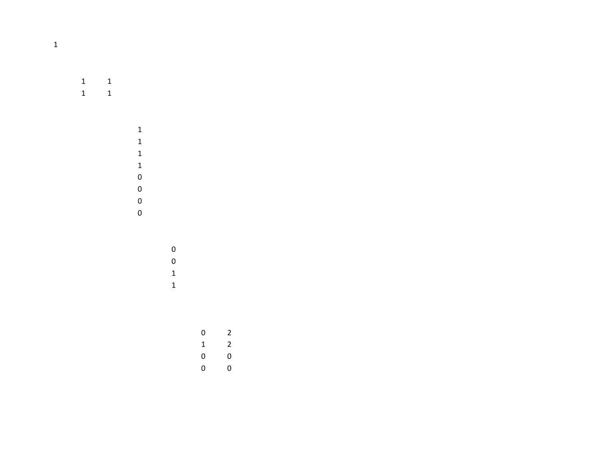$\begin{array}{cc} 1 \quad & 1 \\ 1 \quad & 1 \end{array}$ 1 1

 

 $\begin{matrix} 0 && 2 \\ 1 && 2 \end{matrix}$  $\begin{matrix} 0 && 0 \\ 0 && 0 \end{matrix}$ 0 0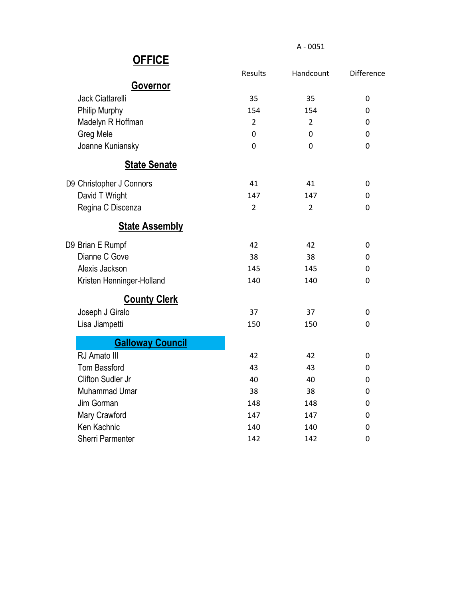|                           | <b>Results</b> | Handcount      | Difference  |
|---------------------------|----------------|----------------|-------------|
| <b>Governor</b>           |                |                |             |
| <b>Jack Ciattarelli</b>   | 35             | 35             | 0           |
| Philip Murphy             | 154            | 154            | 0           |
| Madelyn R Hoffman         | $\overline{2}$ | 2              | 0           |
| Greg Mele                 | 0              | 0              | 0           |
| Joanne Kuniansky          | 0              | 0              | 0           |
| <b>State Senate</b>       |                |                |             |
| D9 Christopher J Connors  | 41             | 41             | 0           |
| David T Wright            | 147            | 147            | 0           |
| Regina C Discenza         | $\overline{2}$ | $\overline{2}$ | 0           |
| <b>State Assembly</b>     |                |                |             |
| D9 Brian E Rumpf          | 42             | 42             | 0           |
| Dianne C Gove             | 38             | 38             | 0           |
| Alexis Jackson            | 145            | 145            | 0           |
| Kristen Henninger-Holland | 140            | 140            | 0           |
| <b>County Clerk</b>       |                |                |             |
| Joseph J Giralo           | 37             | 37             | 0           |
| Lisa Jiampetti            | 150            | 150            | 0           |
| <b>Galloway Council</b>   |                |                |             |
| RJ Amato III              | 42             | 42             | 0           |
| <b>Tom Bassford</b>       | 43             | 43             | 0           |
| Clifton Sudler Jr         | 40             | 40             | 0           |
| <b>Muhammad Umar</b>      | 38             | 38             | 0           |
| Jim Gorman                | 148            | 148            | 0           |
| Mary Crawford             | 147            | 147            | 0           |
| Ken Kachnic               | 140            | 140            | 0           |
| <b>Sherri Parmenter</b>   | 142            | 142            | $\mathbf 0$ |